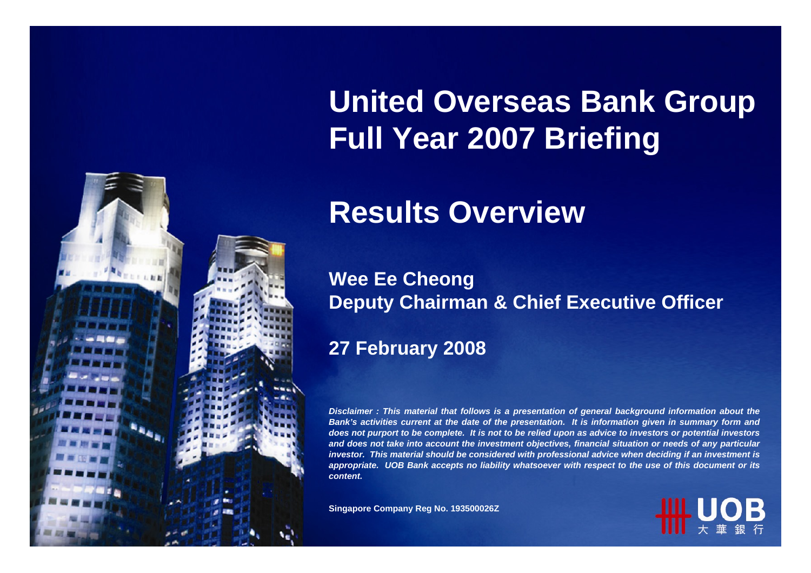

# **United Overseas Bank Group Full Year 2007 Briefing**

# **Results Overview**

#### **Wee Ee Cheong Deputy Chairman & Chief Executive Officer**

#### **27 February 2008**

*Disclaimer : This material that follows is a presentation of general background information about the Bank's activities current at the date of the presentation. It is information given in summary form and does not purport to be complete. It is not to be relied upon as advic e to investors or potential investors an d does n ot take into acco u nt the investment o bjectives, fin a n cial situatio n or needs of any p articular investor. This material should be considered with professional advice when deciding if an investment is appropriate. UOB Ban k accepts n o liability whatsoever with respect to th euse of this document or its content.*

**Sin gap ore Compan y R e g N o. 193500026Z**

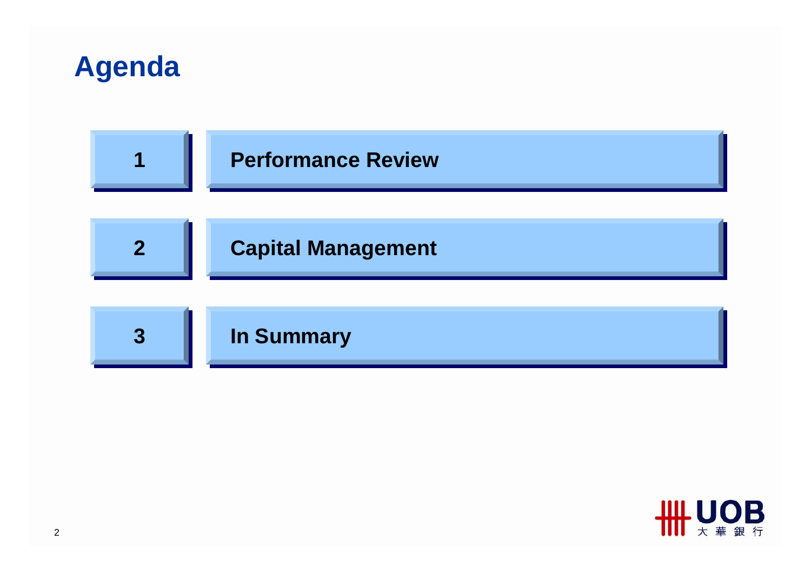



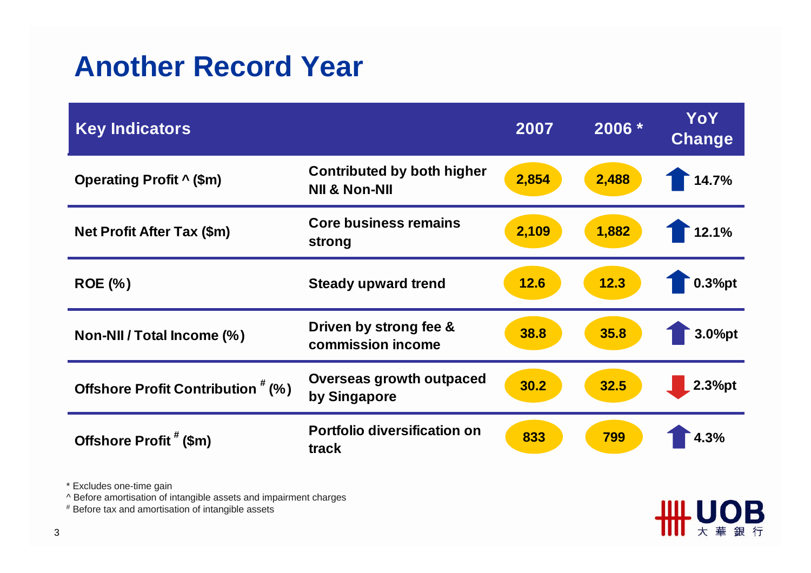#### **Another Record Year**

| <b>Key Indicators</b>              |                                                               | 2007  | 2006 * | <b>YoY</b><br><b>Change</b> |
|------------------------------------|---------------------------------------------------------------|-------|--------|-----------------------------|
| <b>Operating Profit ^ (\$m)</b>    | <b>Contributed by both higher</b><br><b>NII &amp; Non-NII</b> | 2,854 | 2,488  | 14.7%                       |
| <b>Net Profit After Tax (\$m)</b>  | <b>Core business remains</b><br>strong                        | 2,109 | 1,882  | 12.1%                       |
| <b>ROE</b> (%)                     | <b>Steady upward trend</b>                                    | 12.6  | 12.3   | 0.3%pt                      |
| Non-NII / Total Income (%)         | Driven by strong fee &<br>commission income                   | 38.8  | 35.8   | 3.0%pt                      |
| Offshore Profit Contribution # (%) | <b>Overseas growth outpaced</b><br>by Singapore               | 30.2  | 32.5   | 2.3%pt                      |
| Offshore Profit # (\$m)            | <b>Portfolio diversification on</b><br>track                  | 833   | 799    | 4.3%                        |

**₩NOB** 

大華銀行

\* Excludes one-time gain

^ Before amortisation of intangible assets and impairment charges

# Before tax and amortisation of intangible assets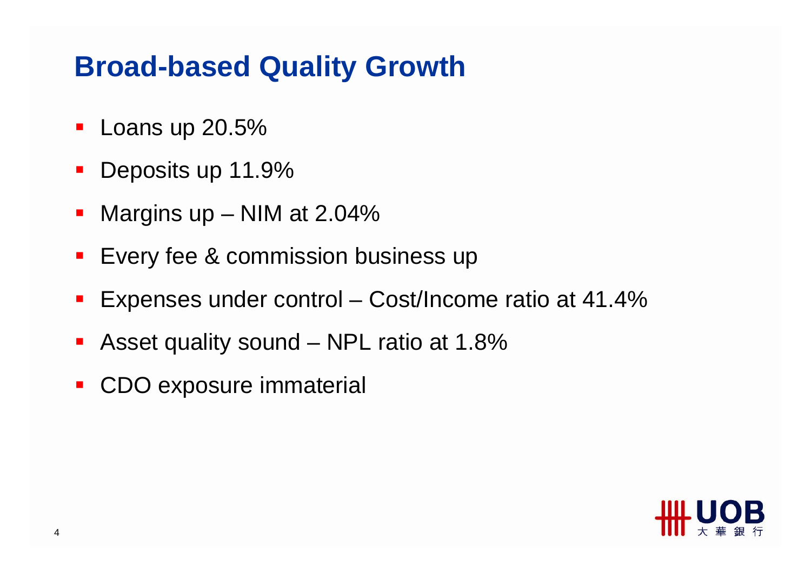#### **Broad-based Quality Growth**

- **Loans up 20.5%**
- $\mathcal{L}_{\text{max}}$ Deposits up 11.9%
- Margins up – NIM at 2.04%
- **Exery fee & commission business up**
- $\blacksquare$ Expenses under control – Cost/Income ratio at 41.4%
- Asset quality sound – NPL ratio at 1.8%
- $\mathcal{L}_{\mathcal{A}}$ CDO exposure immaterial

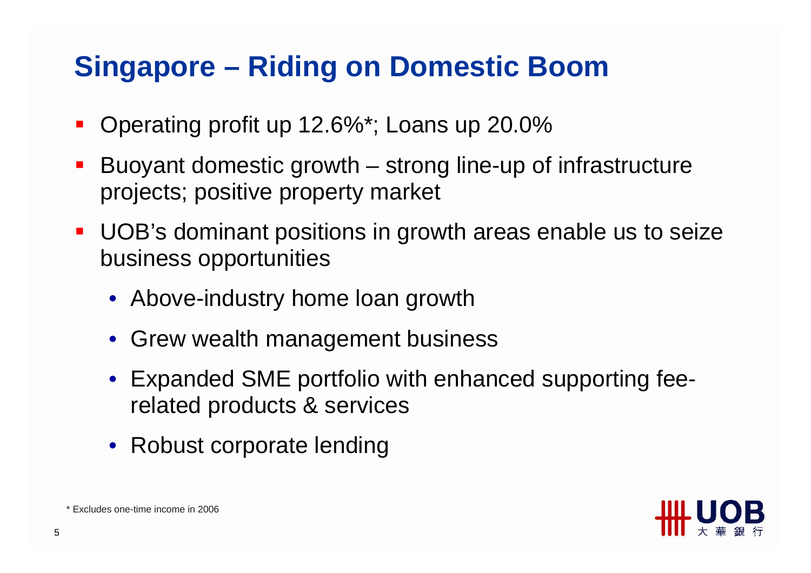# **Singapore – Riding on Domestic Boom**

- $\blacksquare$ Operating profit up 12.6%\*; Loans up 20.0%
- Buoyant domestic growth – strong line-up of infrastructure projects; positive property market
- **UOB's dominant positions in growth areas enable us to seize** business opportunities
	- Above-industry home loan growth
	- Grew wealth management business
	- Expanded SME portfolio with enhanced supporting feerelated products & services
	- Robust corporate lending



\* Excludes one-time income in 2006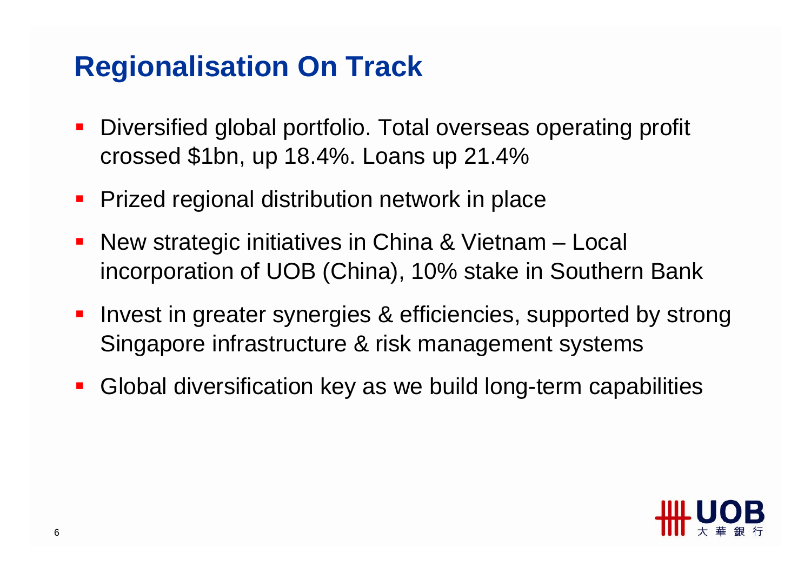## **Regionalisation On Track**

- $\mathcal{L}_{\mathcal{A}}$  Diversified global portfolio. Total overseas operating profit crossed \$1bn, up 18.4%. Loans up 21.4%
- $\blacksquare$ Prized regional distribution network in place
- **New strategic initiatives in China & Vietnam Local** incorporation of UOB (China), 10% stake in Southern Bank
- **Invest in greater synergies & efficiencies, supported by strong** Singapore infrastructure & risk management systems
- $\overline{\phantom{a}}$ Global diversification key as we build long-term capabilities

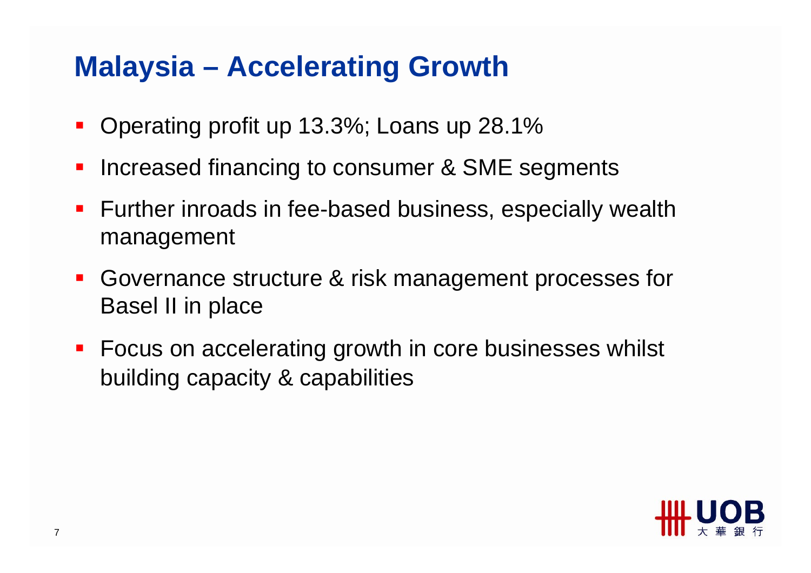# **Malaysia – Accelerating Growth**

- $\blacksquare$ Operating profit up 13.3%; Loans up 28.1%
- $\mathbb{R}^2$ Increased financing to consumer & SME segments
- **Further inroads in fee-based business, especially wealth** management
- Governance structure & risk management processes for Basel II in place
- **Focus on accelerating growth in core businesses whilst** building capacity & capabilities

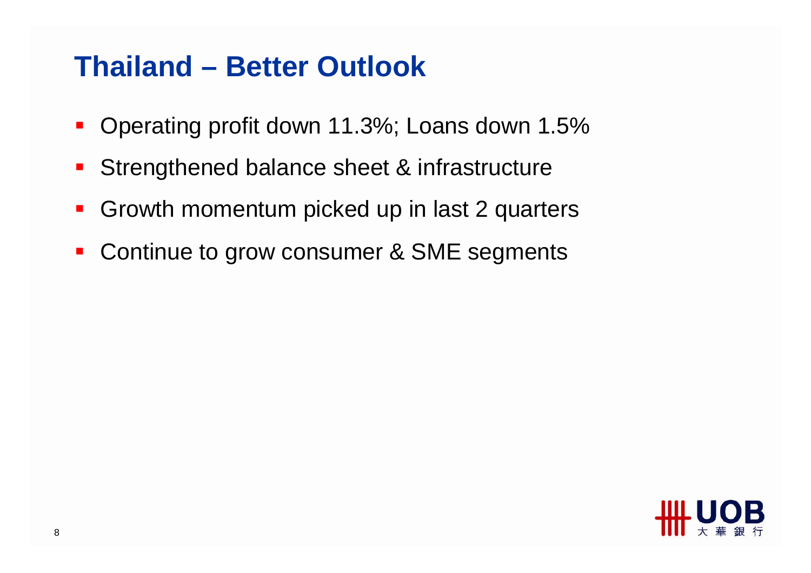#### **Thailand – Better Outlook**

- $\blacksquare$ Operating profit down 11.3%; Loans down 1.5%
- $\mathcal{L}_{\mathcal{A}}$ Strengthened balance sheet & infrastructure
- $\mathcal{L}_{\mathcal{A}}$ Growth momentum picked up in last 2 quarters
- $\mathcal{L}_{\mathcal{A}}$ Continue to grow consumer & SME segments

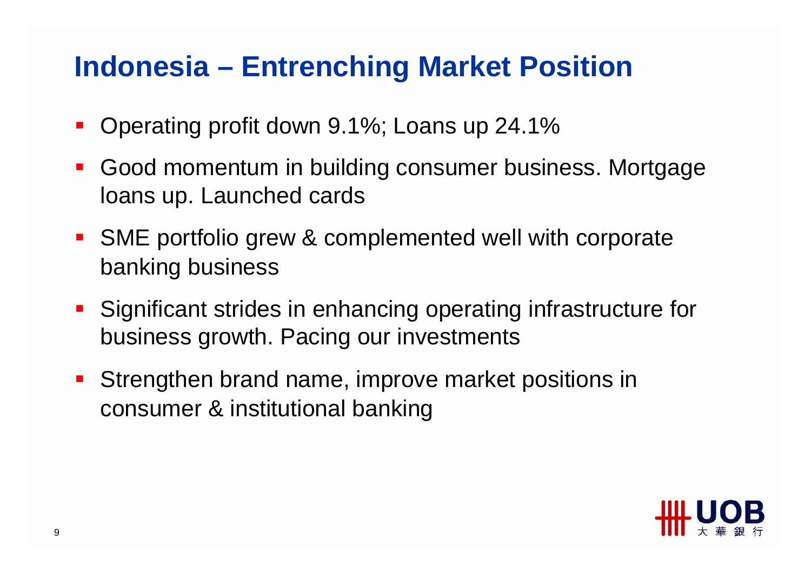## **Indonesia – Entrenching Market Position**

- $\mathcal{L}_{\mathcal{A}}$ Operating profit down 9.1%; Loans up 24.1%
- $\mathcal{L}_{\mathcal{A}}$  Good momentum in building consumer business. Mortgage loans up. Launched cards
- **SME portfolio grew & complemented well with corporate** banking business
- **Significant strides in enhancing operating infrastructure for** business growth. Pacing our investments
- **Strengthen brand name, improve market positions in** consumer & institutional banking

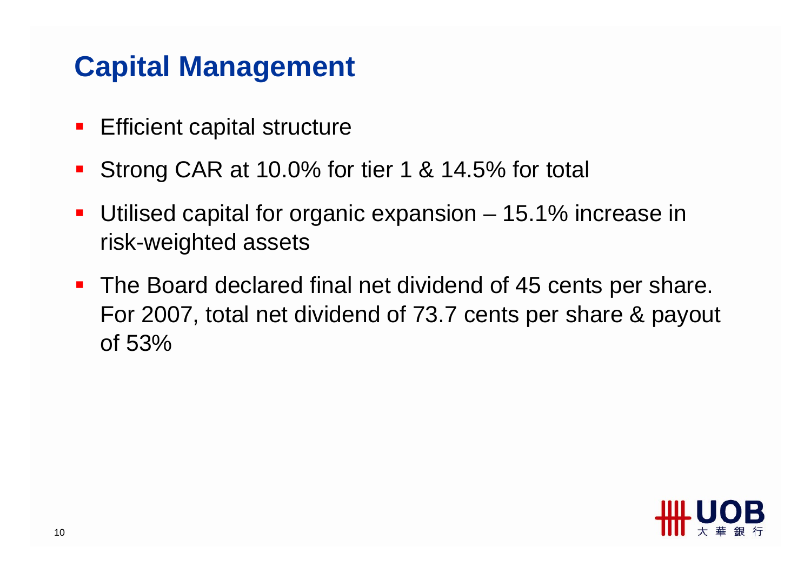## **Capital Management**

- $\mathcal{L}_{\mathcal{A}}$ Efficient capital structure
- Strong CAR at 10.0% for tier 1 & 14.5% for total
- ■ Utilised capital for organic expansion – 15.1% increase in risk-weighted assets
- The Board declared final net dividend of 45 cents per share. For 2007, total net dividend of 73.7 cents per share & payout of 53%